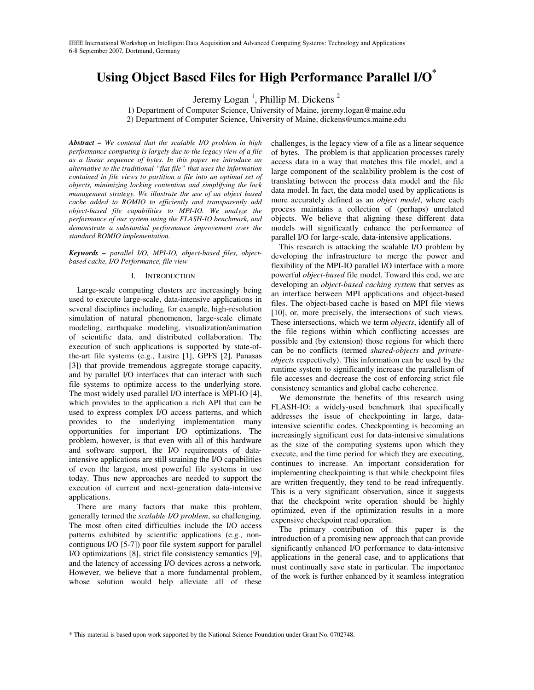# **Using Object Based Files for High Performance Parallel I/O\***

Jeremy Logan<sup>1</sup>, Phillip M. Dickens<sup>2</sup>

1) Department of Computer Science, University of Maine, jeremy.logan@maine.edu

2) Department of Computer Science, University of Maine, dickens@umcs.maine.edu

*Abstract – We contend that the scalable I/O problem in high performance computing is largely due to the legacy view of a file as a linear sequence of bytes. In this paper we introduce an alternative to the traditional "flat file" that uses the information contained in file views to partition a file into an optimal set of objects, minimizing locking contention and simplifying the lock management strategy. We illustrate the use of an object based cache added to ROMIO to efficiently and transparently add object-based file capabilities to MPI-IO. We analyze the performance of our system using the FLASH-IO benchmark, and demonstrate a substantial performance improvement over the standard ROMIO implementation.* 

*Keywords – parallel I/O, MPI-IO, object-based files, objectbased cache, I/O Performance, file view* 

### I. INTRODUCTION

Large-scale computing clusters are increasingly being used to execute large-scale, data-intensive applications in several disciplines including, for example, high-resolution simulation of natural phenomenon, large-scale climate modeling, earthquake modeling, visualization/animation of scientific data, and distributed collaboration. The execution of such applications is supported by state-ofthe-art file systems (e.g., Lustre [1], GPFS [2], Panasas [3]) that provide tremendous aggregate storage capacity, and by parallel I/O interfaces that can interact with such file systems to optimize access to the underlying store. The most widely used parallel I/O interface is MPI-IO [4], which provides to the application a rich API that can be used to express complex I/O access patterns, and which provides to the underlying implementation many opportunities for important I/O optimizations. The problem, however, is that even with all of this hardware and software support, the I/O requirements of dataintensive applications are still straining the I/O capabilities of even the largest, most powerful file systems in use today. Thus new approaches are needed to support the execution of current and next-generation data-intensive applications.

There are many factors that make this problem, generally termed the *scalable I/O problem*, so challenging. The most often cited difficulties include the I/O access patterns exhibited by scientific applications (e.g., noncontiguous I/O [5-7]) poor file system support for parallel I/O optimizations [8], strict file consistency semantics [9], and the latency of accessing I/O devices across a network. However, we believe that a more fundamental problem, whose solution would help alleviate all of these

challenges, is the legacy view of a file as a linear sequence of bytes. The problem is that application processes rarely access data in a way that matches this file model, and a large component of the scalability problem is the cost of translating between the process data model and the file data model. In fact, the data model used by applications is more accurately defined as an *object model*, where each process maintains a collection of (perhaps) unrelated objects. We believe that aligning these different data models will significantly enhance the performance of parallel I/O for large-scale, data-intensive applications.

This research is attacking the scalable I/O problem by developing the infrastructure to merge the power and flexibility of the MPI-IO parallel I/O interface with a more powerful *object-based* file model. Toward this end, we are developing an *object-based caching system* that serves as an interface between MPI applications and object-based files. The object-based cache is based on MPI file views [10], or, more precisely, the intersections of such views. These intersections, which we term *objects*, identify all of the file regions within which conflicting accesses are possible and (by extension) those regions for which there can be no conflicts (termed *shared-objects* and *privateobjects* respectively). This information can be used by the runtime system to significantly increase the parallelism of file accesses and decrease the cost of enforcing strict file consistency semantics and global cache coherence.

We demonstrate the benefits of this research using FLASH-IO: a widely-used benchmark that specifically addresses the issue of checkpointing in large, dataintensive scientific codes. Checkpointing is becoming an increasingly significant cost for data-intensive simulations as the size of the computing systems upon which they execute, and the time period for which they are executing, continues to increase. An important consideration for implementing checkpointing is that while checkpoint files are written frequently, they tend to be read infrequently. This is a very significant observation, since it suggests that the checkpoint write operation should be highly optimized, even if the optimization results in a more expensive checkpoint read operation.

The primary contribution of this paper is the introduction of a promising new approach that can provide significantly enhanced I/O performance to data-intensive applications in the general case, and to applications that must continually save state in particular. The importance of the work is further enhanced by it seamless integration

<sup>\*</sup> This material is based upon work supported by the National Science Foundation under Grant No. 0702748.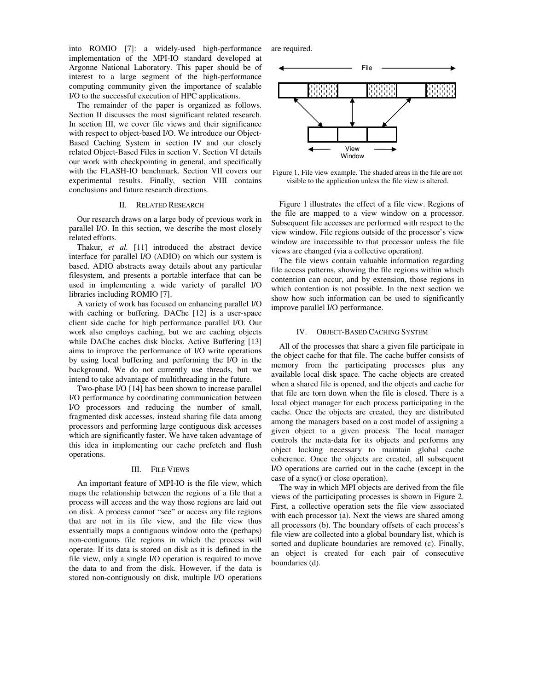into ROMIO [7]: a widely-used high-performance implementation of the MPI-IO standard developed at Argonne National Laboratory. This paper should be of interest to a large segment of the high-performance computing community given the importance of scalable I/O to the successful execution of HPC applications.

The remainder of the paper is organized as follows. Section II discusses the most significant related research. In section III, we cover file views and their significance with respect to object-based I/O. We introduce our Object-Based Caching System in section IV and our closely related Object-Based Files in section V. Section VI details our work with checkpointing in general, and specifically with the FLASH-IO benchmark. Section VII covers our experimental results. Finally, section VIII contains conclusions and future research directions.

### II. RELATED RESEARCH

Our research draws on a large body of previous work in parallel I/O. In this section, we describe the most closely related efforts.

Thakur, *et al.* [11] introduced the abstract device interface for parallel I/O (ADIO) on which our system is based. ADIO abstracts away details about any particular filesystem, and presents a portable interface that can be used in implementing a wide variety of parallel I/O libraries including ROMIO [7].

A variety of work has focused on enhancing parallel I/O with caching or buffering. DAChe [12] is a user-space client side cache for high performance parallel I/O. Our work also employs caching, but we are caching objects while DAChe caches disk blocks. Active Buffering [13] aims to improve the performance of I/O write operations by using local buffering and performing the I/O in the background. We do not currently use threads, but we intend to take advantage of multithreading in the future.

Two-phase I/O [14] has been shown to increase parallel I/O performance by coordinating communication between I/O processors and reducing the number of small, fragmented disk accesses, instead sharing file data among processors and performing large contiguous disk accesses which are significantly faster. We have taken advantage of this idea in implementing our cache prefetch and flush operations.

### III. FILE VIEWS

An important feature of MPI-IO is the file view, which maps the relationship between the regions of a file that a process will access and the way those regions are laid out on disk. A process cannot "see" or access any file regions that are not in its file view, and the file view thus essentially maps a contiguous window onto the (perhaps) non-contiguous file regions in which the process will operate. If its data is stored on disk as it is defined in the file view, only a single I/O operation is required to move the data to and from the disk. However, if the data is stored non-contiguously on disk, multiple I/O operations

are required.



Figure 1. File view example. The shaded areas in the file are not visible to the application unless the file view is altered.

Figure 1 illustrates the effect of a file view. Regions of the file are mapped to a view window on a processor. Subsequent file accesses are performed with respect to the view window. File regions outside of the processor's view window are inaccessible to that processor unless the file views are changed (via a collective operation).

The file views contain valuable information regarding file access patterns, showing the file regions within which contention can occur, and by extension, those regions in which contention is not possible. In the next section we show how such information can be used to significantly improve parallel I/O performance.

## IV. OBJECT-BASED CACHING SYSTEM

All of the processes that share a given file participate in the object cache for that file. The cache buffer consists of memory from the participating processes plus any available local disk space. The cache objects are created when a shared file is opened, and the objects and cache for that file are torn down when the file is closed. There is a local object manager for each process participating in the cache. Once the objects are created, they are distributed among the managers based on a cost model of assigning a given object to a given process. The local manager controls the meta-data for its objects and performs any object locking necessary to maintain global cache coherence. Once the objects are created, all subsequent I/O operations are carried out in the cache (except in the case of a sync() or close operation).

The way in which MPI objects are derived from the file views of the participating processes is shown in Figure 2. First, a collective operation sets the file view associated with each processor (a). Next the views are shared among all processors (b). The boundary offsets of each process's file view are collected into a global boundary list, which is sorted and duplicate boundaries are removed (c). Finally, an object is created for each pair of consecutive boundaries (d).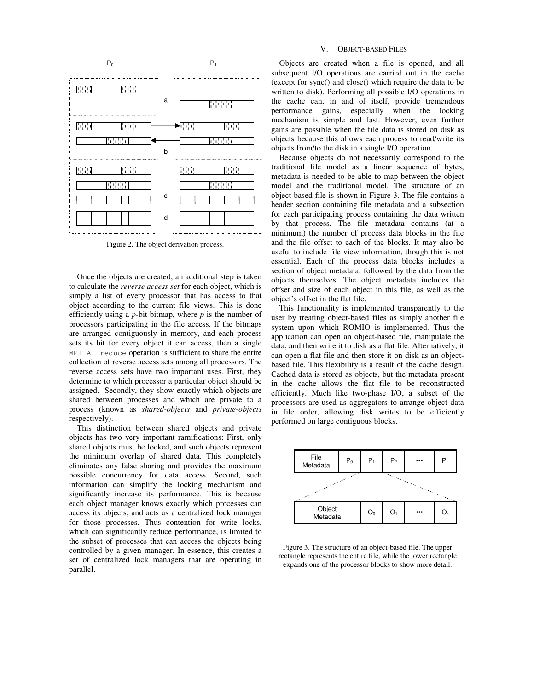

Figure 2. The object derivation process.

Once the objects are created, an additional step is taken to calculate the *reverse access set* for each object, which is simply a list of every processor that has access to that object according to the current file views. This is done efficiently using a *p*-bit bitmap, where *p* is the number of processors participating in the file access. If the bitmaps are arranged contiguously in memory, and each process sets its bit for every object it can access, then a single MPI\_Allreduce operation is sufficient to share the entire collection of reverse access sets among all processors. The reverse access sets have two important uses. First, they determine to which processor a particular object should be assigned. Secondly, they show exactly which objects are shared between processes and which are private to a process (known as *shared-objects* and *private-objects* respectively).

This distinction between shared objects and private objects has two very important ramifications: First, only shared objects must be locked, and such objects represent the minimum overlap of shared data. This completely eliminates any false sharing and provides the maximum possible concurrency for data access. Second, such information can simplify the locking mechanism and significantly increase its performance. This is because each object manager knows exactly which processes can access its objects, and acts as a centralized lock manager for those processes. Thus contention for write locks, which can significantly reduce performance, is limited to the subset of processes that can access the objects being controlled by a given manager. In essence, this creates a set of centralized lock managers that are operating in parallel.

### V. OBJECT-BASED FILES

Objects are created when a file is opened, and all subsequent I/O operations are carried out in the cache (except for sync() and close() which require the data to be written to disk). Performing all possible I/O operations in the cache can, in and of itself, provide tremendous performance gains, especially when the locking mechanism is simple and fast. However, even further gains are possible when the file data is stored on disk as objects because this allows each process to read/write its objects from/to the disk in a single I/O operation.

Because objects do not necessarily correspond to the traditional file model as a linear sequence of bytes, metadata is needed to be able to map between the object model and the traditional model. The structure of an object-based file is shown in Figure 3. The file contains a header section containing file metadata and a subsection for each participating process containing the data written by that process. The file metadata contains (at a minimum) the number of process data blocks in the file and the file offset to each of the blocks. It may also be useful to include file view information, though this is not essential. Each of the process data blocks includes a section of object metadata, followed by the data from the objects themselves. The object metadata includes the offset and size of each object in this file, as well as the object's offset in the flat file.

This functionality is implemented transparently to the user by treating object-based files as simply another file system upon which ROMIO is implemented. Thus the application can open an object-based file, manipulate the data, and then write it to disk as a flat file. Alternatively, it can open a flat file and then store it on disk as an objectbased file. This flexibility is a result of the cache design. Cached data is stored as objects, but the metadata present in the cache allows the flat file to be reconstructed efficiently. Much like two-phase I/O, a subset of the processors are used as aggregators to arrange object data in file order, allowing disk writes to be efficiently performed on large contiguous blocks.



Figure 3. The structure of an object-based file. The upper rectangle represents the entire file, while the lower rectangle expands one of the processor blocks to show more detail.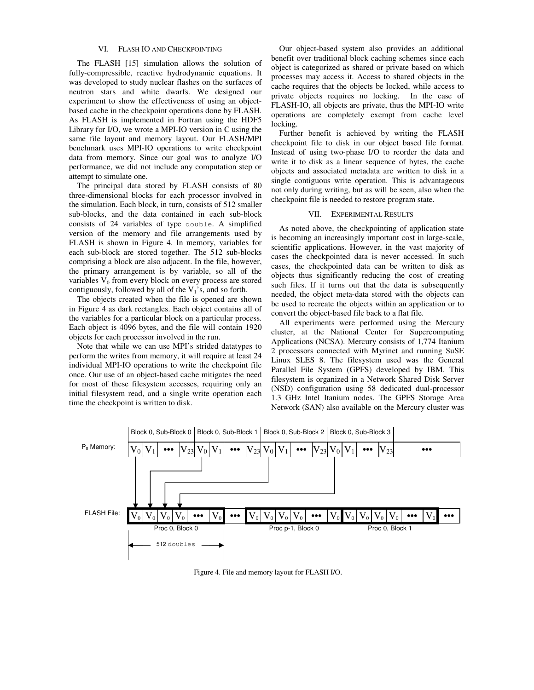## VI. FLASH IO AND CHECKPOINTING

The FLASH [15] simulation allows the solution of fully-compressible, reactive hydrodynamic equations. It was developed to study nuclear flashes on the surfaces of neutron stars and white dwarfs. We designed our experiment to show the effectiveness of using an objectbased cache in the checkpoint operations done by FLASH. As FLASH is implemented in Fortran using the HDF5 Library for I/O, we wrote a MPI-IO version in C using the same file layout and memory layout. Our FLASH/MPI benchmark uses MPI-IO operations to write checkpoint data from memory. Since our goal was to analyze I/O performance, we did not include any computation step or attempt to simulate one.

The principal data stored by FLASH consists of 80 three-dimensional blocks for each processor involved in the simulation. Each block, in turn, consists of 512 smaller sub-blocks, and the data contained in each sub-block consists of 24 variables of type double. A simplified version of the memory and file arrangements used by FLASH is shown in Figure 4. In memory, variables for each sub-block are stored together. The 512 sub-blocks comprising a block are also adjacent. In the file, however, the primary arrangement is by variable, so all of the variables  $V_0$  from every block on every process are stored contiguously, followed by all of the  $V_1$ 's, and so forth.

The objects created when the file is opened are shown in Figure 4 as dark rectangles. Each object contains all of the variables for a particular block on a particular process. Each object is 4096 bytes, and the file will contain 1920 objects for each processor involved in the run.

Note that while we can use MPI's strided datatypes to perform the writes from memory, it will require at least 24 individual MPI-IO operations to write the checkpoint file once. Our use of an object-based cache mitigates the need for most of these filesystem accesses, requiring only an initial filesystem read, and a single write operation each time the checkpoint is written to disk.

Our object-based system also provides an additional benefit over traditional block caching schemes since each object is categorized as shared or private based on which processes may access it. Access to shared objects in the cache requires that the objects be locked, while access to private objects requires no locking. In the case of FLASH-IO, all objects are private, thus the MPI-IO write operations are completely exempt from cache level locking.

Further benefit is achieved by writing the FLASH checkpoint file to disk in our object based file format. Instead of using two-phase I/O to reorder the data and write it to disk as a linear sequence of bytes, the cache objects and associated metadata are written to disk in a single contiguous write operation. This is advantageous not only during writing, but as will be seen, also when the checkpoint file is needed to restore program state.

### VII. EXPERIMENTAL RESULTS

As noted above, the checkpointing of application state is becoming an increasingly important cost in large-scale, scientific applications. However, in the vast majority of cases the checkpointed data is never accessed. In such cases, the checkpointed data can be written to disk as objects thus significantly reducing the cost of creating such files. If it turns out that the data is subsequently needed, the object meta-data stored with the objects can be used to recreate the objects within an application or to convert the object-based file back to a flat file.

All experiments were performed using the Mercury cluster, at the National Center for Supercomputing Applications (NCSA). Mercury consists of 1,774 Itanium 2 processors connected with Myrinet and running SuSE Linux SLES 8. The filesystem used was the General Parallel File System (GPFS) developed by IBM. This filesystem is organized in a Network Shared Disk Server (NSD) configuration using 58 dedicated dual-processor 1.3 GHz Intel Itanium nodes. The GPFS Storage Area Network (SAN) also available on the Mercury cluster was



Figure 4. File and memory layout for FLASH I/O.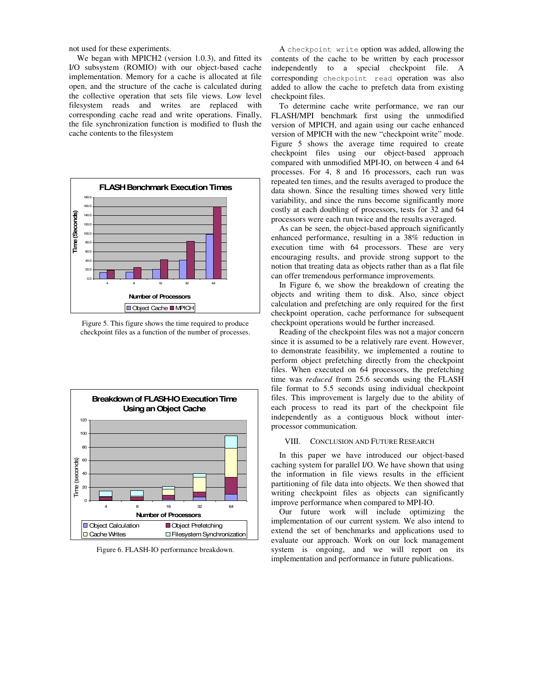not used for these experiments.

We began with MPICH2 (version 1.0.3), and fitted its I/O subsystem (ROMIO) with our object-based cache implementation. Memory for a cache is allocated at file open, and the structure of the cache is calculated during the collective operation that sets file views. Low level filesystem reads and writes are replaced with corresponding cache read and write operations. Finally, the file synchronization function is modified to flush the cache contents to the filesystem



Figure 5. This figure shows the time required to produce checkpoint files as a function of the number of processes.



Figure 6. FLASH-IO performance breakdown.

A checkpoint write option was added, allowing the contents of the cache to be written by each processor independently to a special checkpoint file. A corresponding checkpoint read operation was also added to allow the cache to prefetch data from existing checkpoint files.

To determine cache write performance, we ran our FLASH/MPI benchmark first using the unmodified version of MPICH, and again using our cache enhanced version of MPICH with the new "checkpoint write" mode. Figure 5 shows the average time required to create checkpoint files using our object-based approach compared with unmodified MPI-IO, on between 4 and 64 processes. For 4, 8 and 16 processors, each run was repeated ten times, and the results averaged to produce the data shown. Since the resulting times showed very little variability, and since the runs become significantly more costly at each doubling of processors, tests for 32 and 64 processors were each run twice and the results averaged.

As can be seen, the object-based approach significantly enhanced performance, resulting in a 38% reduction in execution time with 64 processors. These are very encouraging results, and provide strong support to the notion that treating data as objects rather than as a flat file can offer tremendous performance improvements.

In Figure 6, we show the breakdown of creating the objects and writing them to disk. Also, since object calculation and prefetching are only required for the first checkpoint operation, cache performance for subsequent checkpoint operations would be further increased.

Reading of the checkpoint files was not a major concern since it is assumed to be a relatively rare event. However, to demonstrate feasibility, we implemented a routine to perform object prefetching directly from the checkpoint files. When executed on 64 processors, the prefetching time was *reduced* from 25.6 seconds using the FLASH file format to 5.5 seconds using individual checkpoint files. This improvement is largely due to the ability of each process to read its part of the checkpoint file independently as a contiguous block without interprocessor communication.

#### VIII. CONCLUSION AND FUTURE RESEARCH

In this paper we have introduced our object-based caching system for parallel I/O. We have shown that using the information in file views results in the efficient partitioning of file data into objects. We then showed that writing checkpoint files as objects can significantly improve performance when compared to MPI-IO.

Our future work will include optimizing the implementation of our current system. We also intend to extend the set of benchmarks and applications used to evaluate our approach. Work on our lock management system is ongoing, and we will report on its implementation and performance in future publications.